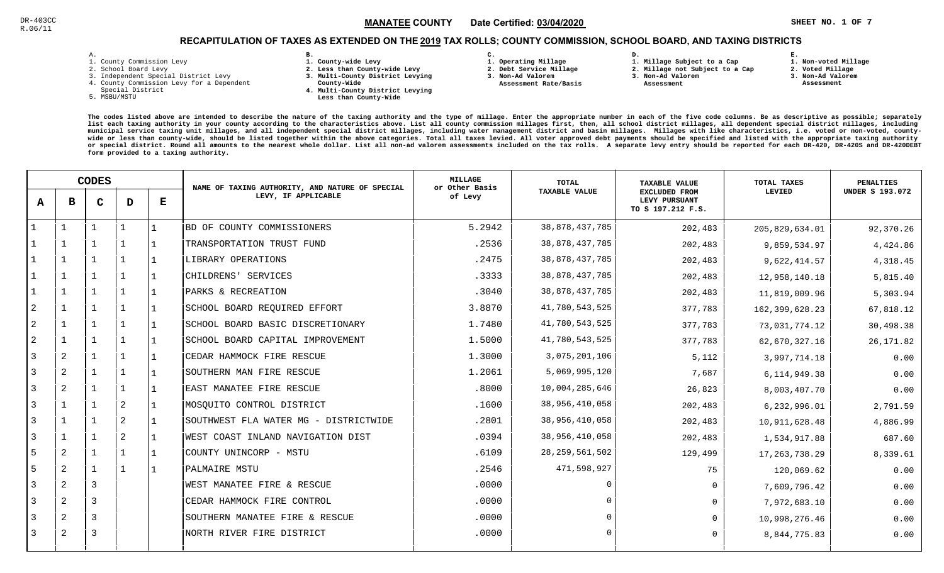### $\mathbb{S}^3$  and  $\mathbb{S}^2$  and  $\mathbb{S}^2$  and  $\mathbb{S}^3$  and  $\mathbb{S}^3$  and  $\mathbb{S}^3$  and  $\mathbb{S}^4$  and  $\mathbb{S}^4$  and  $\mathbb{S}^4$  and  $\mathbb{S}^4$  and  $\mathbb{S}^4$  and  $\mathbb{S}^4$  and  $\mathbb{S}^4$  and  $\mathbb{S}^4$  and  $\mathbb{S}^4$  MANATEE CO

## RECAPITULATION OF TAXES AS EXTENDED ON THE <u>2019</u> TAX ROLLS; COUNTY COMMISSION, SCHOOL BOARD, AND TAXING DISTRICTS

| ۰ |  |  |
|---|--|--|

- 1. County Commission Levy
- 2. School Board Levy
- 3. Independent Special District Levy
- 4. County Commission Levy for a Dependent
- Special District
- 5. MSBU/MSTU
- **B. 1. County-wide Levy**
- **2. Less than County-wide Levy**
- **3. Multi-County District Levying**
- **County-Wide** 
	- **4. Multi-County District Levying Less than County-Wide**
- **C.**
- **1. Operating Millage**

 **Assessment Rate/Basis**

- **2. Debt Service Millage**
- **3. Non-Ad Valorem**
- **2. Millage not Subject to a Cap**

**D.** 

- **3. Non-Ad Valorem**
	- **Assessment**

**1. Millage Subject to a Cap**

 **1. Non-voted Millage2. Voted Millage**

**E.**

- **3. Non-Ad Valorem**
- **Assessment**
- 

|   |                | <b>CODES</b> |                |           | NAME OF TAXING AUTHORITY, AND NATURE OF SPECIAL | <b>MILLAGE</b><br>or Other Basis | <b>TOTAL</b>         | <b>TAXABLE VALUE</b>                                       | TOTAL TAXES      | <b>PENALTIES</b>       |
|---|----------------|--------------|----------------|-----------|-------------------------------------------------|----------------------------------|----------------------|------------------------------------------------------------|------------------|------------------------|
| A | в              | $\mathbf C$  | D              | Е         | LEVY, IF APPLICABLE                             | of Levy                          | <b>TAXABLE VALUE</b> | <b>EXCLUDED FROM</b><br>LEVY PURSUANT<br>TO S 197.212 F.S. | LEVIED           | <b>UNDER S 193.072</b> |
|   |                |              |                | 1         | BD OF COUNTY COMMISSIONERS                      | 5.2942                           | 38, 878, 437, 785    | 202,483                                                    | 205,829,634.01   | 92,370.26              |
|   | $\mathbf{1}$   |              | -1             | l 1       | TRANSPORTATION TRUST FUND                       | .2536                            | 38,878,437,785       | 202,483                                                    | 9,859,534.97     | 4,424.86               |
|   | $\mathbf{1}$   | $\mathbf{1}$ | $\mathbf{1}$   | l 1       | LIBRARY OPERATIONS                              | .2475                            | 38,878,437,785       | 202,483                                                    | 9,622,414.57     | 4,318.45               |
|   | $\mathbf{1}$   | $\mathbf{1}$ | $\mathbf{1}$   | 1         | CHILDRENS' SERVICES                             | .3333                            | 38,878,437,785       | 202,483                                                    | 12,958,140.18    | 5,815.40               |
|   | $\mathbf{1}$   |              | $\mathbf{1}$   | 1         | PARKS & RECREATION                              | .3040                            | 38,878,437,785       | 202,483                                                    | 11,819,009.96    | 5,303.94               |
| 2 | $\mathbf{1}$   |              | $\mathbf{1}$   | 1         | SCHOOL BOARD REQUIRED EFFORT                    | 3.8870                           | 41,780,543,525       | 377,783                                                    | 162, 399, 628.23 | 67,818.12              |
| 2 | $\mathbf{1}$   |              |                | 1         | SCHOOL BOARD BASIC DISCRETIONARY                | 1.7480                           | 41,780,543,525       | 377,783                                                    | 73,031,774.12    | 30,498.38              |
| 2 | $\mathbf{1}$   |              | $\mathbf{1}$   | l 1       | SCHOOL BOARD CAPITAL IMPROVEMENT                | 1.5000                           | 41,780,543,525       | 377,783                                                    | 62,670,327.16    | 26, 171.82             |
| 3 | 2              |              |                | l 1       | CEDAR HAMMOCK FIRE RESCUE                       | 1.3000                           | 3,075,201,106        | 5,112                                                      | 3,997,714.18     | 0.00                   |
| 3 | 2              |              | $\mathbf{1}$   | $\vert$ 1 | SOUTHERN MAN FIRE RESCUE                        | 1.2061                           | 5,069,995,120        | 7,687                                                      | 6, 114, 949. 38  | 0.00                   |
| 3 | 2              |              | $\mathbf{1}$   | $\perp$   | EAST MANATEE FIRE RESCUE                        | .8000                            | 10,004,285,646       | 26,823                                                     | 8,003,407.70     | 0.00                   |
| 3 | $\mathbf{1}$   |              | $\overline{a}$ | l 1       | MOSQUITO CONTROL DISTRICT                       | .1600                            | 38,956,410,058       | 202,483                                                    | 6,232,996.01     | 2,791.59               |
| 3 | $\mathbf{1}$   |              | 2              | $\vert$ 1 | SOUTHWEST FLA WATER MG - DISTRICTWIDE           | .2801                            | 38,956,410,058       | 202,483                                                    | 10,911,628.48    | 4,886.99               |
| 3 | $\overline{1}$ |              | 2              | -1        | WEST COAST INLAND NAVIGATION DIST               | .0394                            | 38,956,410,058       | 202,483                                                    | 1,534,917.88     | 687.60                 |
| 5 | 2              |              | $\mathbf{1}$   | 1         | COUNTY UNINCORP - MSTU                          | .6109                            | 28, 259, 561, 502    | 129,499                                                    | 17, 263, 738.29  | 8,339.61               |
| 5 | 2              | 1            | $\mathbf{1}$   | l 1       | PALMAIRE MSTU                                   | .2546                            | 471,598,927          | 75                                                         | 120,069.62       | 0.00                   |
| 3 | 2              | 3            |                |           | WEST MANATEE FIRE & RESCUE                      | .0000                            | $\Omega$             | $\Omega$                                                   | 7,609,796.42     | 0.00                   |
| 3 | 2              | 3            |                |           | CEDAR HAMMOCK FIRE CONTROL                      | .0000                            |                      | $\Omega$                                                   | 7,972,683.10     | 0.00                   |
|   | 2              | 3            |                |           | SOUTHERN MANATEE FIRE & RESCUE                  | .0000                            | $\Omega$             | $\Omega$                                                   | 10,998,276.46    | 0.00                   |
| 3 | 2              | 3            |                |           | NORTH RIVER FIRE DISTRICT                       | .0000                            |                      | $\Omega$                                                   | 8,844,775.83     | 0.00                   |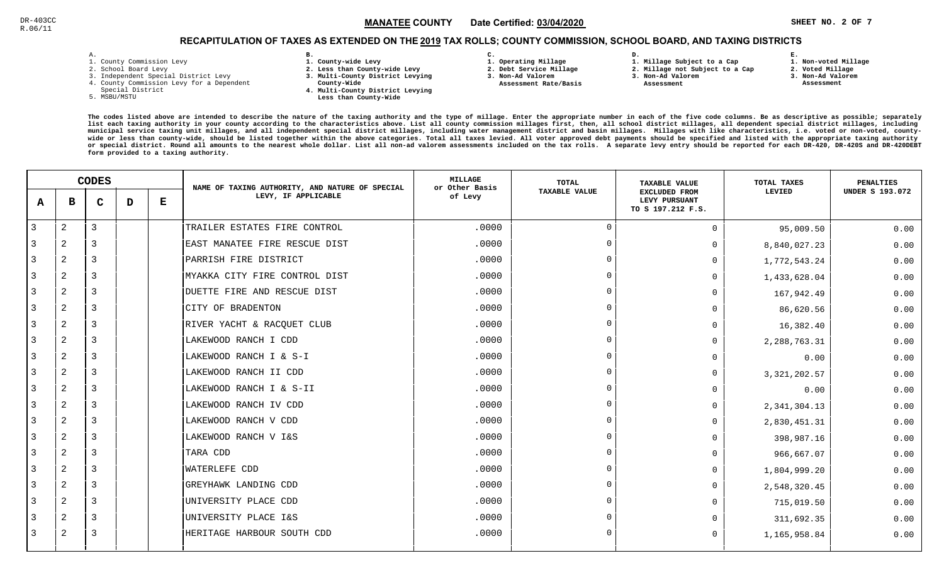### $\mathbb S$   $\blacksquare$   $\blacksquare$   $\blacksquare$   $\blacksquare$   $\blacksquare$   $\blacksquare$   $\blacksquare$   $\blacksquare$   $\blacksquare$   $\blacksquare$   $\blacksquare$   $\blacksquare$   $\blacksquare$   $\blacksquare$   $\blacksquare$   $\blacksquare$   $\blacksquare$   $\blacksquare$   $\blacksquare$   $\blacksquare$   $\blacksquare$   $\blacksquare$   $\blacksquare$   $\blacksquare$   $\blacksquare$   $\blacksquare$   $\blacksquare$   $\blacksquare$   $\blacksquare$   $\blacksquare$   $\blacks$ MANATEE CO

**1. Non-voted Millage**

# RECAPITULATION OF TAXES AS EXTENDED ON THE <u>2019</u> TAX ROLLS; COUNTY COMMISSION, SCHOOL BOARD, AND TAXING DISTRICTS

| ۰ |  |  |
|---|--|--|

- 1. County Commission Levy
- 2. School Board Levy
- 3. Independent Special District Levy
- 4. County Commission Levy for a Dependent
- Special District
- 5. MSBU/MSTU
- **B. 1. County-wide Levy**
- **2. Less than County-wide Levy**
- **3. Multi-County District Levying**
- **County-Wide** 
	- **4. Multi-County District Levying Less than County-Wide**
- **C. 3. Non-Ad Valorem**

**2. Debt Service Millage** 

 **Assessment Rate/Basis**

- **1. Operating Millage**
- **1. Millage Subject to a Cap**

**D.** 

- **2. Millage not Subject to a Cap3. Non-Ad Valorem**
	- **Assessment**
- 
- **3. Non-Ad Valorem**

**E.**

**2. Voted Millage Assessment**

|              |                | <b>CODES</b> |   |   | NAME OF TAXING AUTHORITY, AND NATURE OF SPECIAL | MILLAGE<br>or Other Basis | TOTAL                | <b>TAXABLE VALUE</b>                                       | TOTAL TAXES    | PENALTIES              |
|--------------|----------------|--------------|---|---|-------------------------------------------------|---------------------------|----------------------|------------------------------------------------------------|----------------|------------------------|
| $\mathbf{A}$ | в              | $\mathbf C$  | D | Е | LEVY, IF APPLICABLE                             | of Levy                   | <b>TAXABLE VALUE</b> | <b>EXCLUDED FROM</b><br>LEVY PURSUANT<br>TO S 197.212 F.S. | LEVIED         | <b>UNDER S 193.072</b> |
| 3            | $\mathbf{2}$   | 3            |   |   | TRAILER ESTATES FIRE CONTROL                    | .0000                     | $\cap$               | $\Omega$                                                   | 95,009.50      | 0.00                   |
|              | 2              | 3            |   |   | EAST MANATEE FIRE RESCUE DIST                   | .0000                     | $\Omega$             | 0                                                          | 8,840,027.23   | 0.00                   |
| 3            | 2              | 3            |   |   | PARRISH FIRE DISTRICT                           | .0000                     | $\Omega$             | $\Omega$                                                   | 1,772,543.24   | 0.00                   |
| 3            | 2              | 3            |   |   | MYAKKA CITY FIRE CONTROL DIST                   | .0000                     | $\Omega$             | <sup>0</sup>                                               | 1,433,628.04   | 0.00                   |
| 3            | 2              | 3            |   |   | DUETTE FIRE AND RESCUE DIST                     | .0000                     | $\Omega$             | <sup>0</sup>                                               | 167,942.49     | 0.00                   |
| 3            | 2              | 3            |   |   | CITY OF BRADENTON                               | .0000                     | $\Omega$             | <sup>0</sup>                                               | 86,620.56      | 0.00                   |
| 3            | $\overline{a}$ | 3            |   |   | RIVER YACHT & RACQUET CLUB                      | .0000                     | $\cap$               | <sup>0</sup>                                               | 16,382.40      | 0.00                   |
| 3            | 2              | 3            |   |   | LAKEWOOD RANCH I CDD                            | .0000                     | $\Omega$             | $\Omega$                                                   | 2, 288, 763.31 | 0.00                   |
| 3            | 2              | 3            |   |   | LAKEWOOD RANCH I & S-I                          | .0000                     | $\Omega$             | $\Omega$                                                   | 0.00           | 0.00                   |
| 3            | 2              | 3            |   |   | LAKEWOOD RANCH II CDD                           | .0000                     | $\Omega$             | $\Omega$                                                   | 3, 321, 202.57 | 0.00                   |
| 3            | 2              | 3            |   |   | LAKEWOOD RANCH I & S-II                         | .0000                     | $\Omega$             | $\Omega$                                                   | 0.00           | 0.00                   |
| 3            | $\overline{a}$ | 3            |   |   | LAKEWOOD RANCH IV CDD                           | .0000                     | $\Omega$             | $\Omega$                                                   | 2, 341, 304.13 | 0.00                   |
| 3            | 2              | 3            |   |   | LAKEWOOD RANCH V CDD                            | .0000                     | $\Omega$             | $\Omega$                                                   | 2,830,451.31   | 0.00                   |
| 3            | 2              | 3            |   |   | LAKEWOOD RANCH V I&S                            | .0000                     | $\Omega$             | <sup>0</sup>                                               | 398,987.16     | 0.00                   |
| 3            | 2              | 3            |   |   | TARA CDD                                        | .0000                     | $\cap$               | $\Omega$                                                   | 966,667.07     | 0.00                   |
| 3            | 2              | 3            |   |   | WATERLEFE CDD                                   | .0000                     | $\Omega$             | $\Omega$                                                   | 1,804,999.20   | 0.00                   |
| 3            | 2              | 3            |   |   | GREYHAWK LANDING CDD                            | .0000                     | $\Omega$             | $\Omega$                                                   | 2,548,320.45   | 0.00                   |
| 3            | 2              | 3            |   |   | UNIVERSITY PLACE CDD                            | .0000                     | $\Omega$             | $\Omega$                                                   | 715,019.50     | 0.00                   |
| 3            | 2              | 3            |   |   | UNIVERSITY PLACE I&S                            | .0000                     | $\Omega$             |                                                            | 311,692.35     | 0.00                   |
| 3            | 2              | 3            |   |   | HERITAGE HARBOUR SOUTH CDD                      | .0000                     |                      | $\Omega$                                                   | 1,165,958.84   | 0.00                   |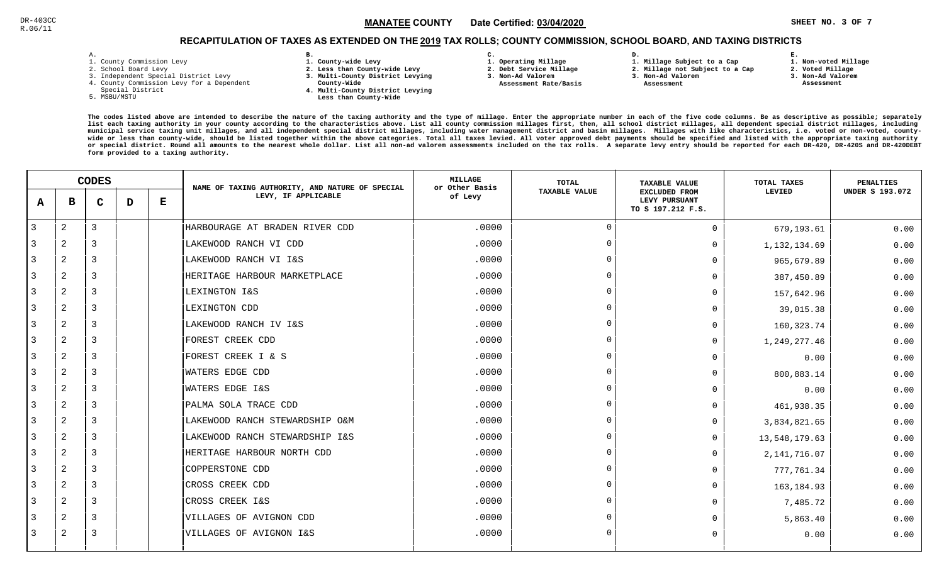### $\mathbb{S}^3$  and  $\mathbb{S}^3$  and  $\mathbb{S}^4$  and  $\mathbb{S}^4$  and  $\mathbb{S}^4$  and  $\mathbb{S}^4$  and  $\mathbb{S}^4$  and  $\mathbb{S}^4$  and  $\mathbb{S}^4$  and  $\mathbb{S}^4$  and  $\mathbb{S}^4$  and  $\mathbb{S}^4$  and  $\mathbb{S}^4$  and  $\mathbb{S}^4$  and  $\mathbb{S}^4$  MANATEE CO

## RECAPITULATION OF TAXES AS EXTENDED ON THE <u>2019</u> TAX ROLLS; COUNTY COMMISSION, SCHOOL BOARD, AND TAXING DISTRICTS

| i. |  |  |
|----|--|--|

- 1. County Commission Levy
- 2. School Board Levy
- 3. Independent Special District Levy
- 4. County Commission Levy for a Dependent
- Special District
- 5. MSBU/MSTU
- **B. 1. County-wide Levy**
- **2. Less than County-wide Levy**
- **3. Multi-County District Levying**
- **County-Wide** 
	- **4. Multi-County District Levying Less than County-Wide**
- **C.**
- **1. Operating Millage**
- **2. Debt Service Millage 3. Non-Ad Valorem**
- **Assessment Rate/Basis**
- **2. Millage not Subject to a Cap3. Non-Ad Valorem**

**D.** 

 **Assessment** 

**1. Millage Subject to a Cap**

**2. Voted Millage**

**E.**

- **3. Non-Ad Valorem**
- **Assessment**

**1. Non-voted Millage**

|              | <b>CODES</b>   |             |   | NAME OF TAXING AUTHORITY, AND NATURE OF SPECIAL | <b>MILLAGE</b><br>or Other Basis | <b>TOTAL</b> | <b>TAXABLE VALUE</b> | TOTAL TAXES                                                | <b>PENALTIES</b> |                        |
|--------------|----------------|-------------|---|-------------------------------------------------|----------------------------------|--------------|----------------------|------------------------------------------------------------|------------------|------------------------|
| $\mathbf{A}$ | в              | $\mathbf C$ | D | Е                                               | LEVY, IF APPLICABLE              | of Levy      | <b>TAXABLE VALUE</b> | <b>EXCLUDED FROM</b><br>LEVY PURSUANT<br>TO S 197.212 F.S. | LEVIED           | <b>UNDER S 193.072</b> |
| 3            | $\mathbf{2}$   | 3           |   |                                                 | HARBOURAGE AT BRADEN RIVER CDD   | .0000        | $\Omega$             | $\mathbf 0$                                                | 679,193.61       | 0.00                   |
| 3            | 2              | 3           |   |                                                 | LAKEWOOD RANCH VI CDD            | .0000        | $\Omega$             | $\mathbf 0$                                                | 1, 132, 134.69   | 0.00                   |
| 3            | 2              | 3           |   |                                                 | LAKEWOOD RANCH VI I&S            | .0000        | $\cap$               | $\Omega$                                                   | 965,679.89       | 0.00                   |
| 3            | 2              | 3           |   |                                                 | HERITAGE HARBOUR MARKETPLACE     | .0000        | $\Omega$             | $\Omega$                                                   | 387,450.89       | 0.00                   |
| 3            | 2              | 3           |   |                                                 | LEXINGTON I&S                    | .0000        | $\Omega$             | $\Omega$                                                   | 157,642.96       | 0.00                   |
| 3            | 2              | 3           |   |                                                 | LEXINGTON CDD                    | .0000        | $\Omega$             | $\Omega$                                                   | 39,015.38        | 0.00                   |
| 3            | 2              | 3           |   |                                                 | LAKEWOOD RANCH IV I&S            | .0000        | $\Omega$             | $\Omega$                                                   | 160, 323.74      | 0.00                   |
| 3            | 2              | 3           |   |                                                 | FOREST CREEK CDD                 | .0000        |                      | $\mathbf 0$                                                | 1,249,277.46     | 0.00                   |
| 3            | 2              | 3           |   |                                                 | FOREST CREEK I & S               | .0000        | $\Omega$             | $\Omega$                                                   | 0.00             | 0.00                   |
| 3            | $\mathbf{2}$   | 3           |   |                                                 | WATERS EDGE CDD                  | .0000        | $\Omega$             | $\Omega$                                                   | 800,883.14       | 0.00                   |
| 3            | $\mathbf{2}$   | 3           |   |                                                 | WATERS EDGE I&S                  | .0000        | $\Omega$             | $\Omega$                                                   | 0.00             | 0.00                   |
| 3            | 2              | 3           |   |                                                 | PALMA SOLA TRACE CDD             | .0000        | $\Omega$             | $\Omega$                                                   | 461,938.35       | 0.00                   |
| 3            | $\mathbf{2}$   | 3           |   |                                                 | LAKEWOOD RANCH STEWARDSHIP O&M   | .0000        | $\Omega$             | $\Omega$                                                   | 3,834,821.65     | 0.00                   |
| 3            | 2              | 3           |   |                                                 | LAKEWOOD RANCH STEWARDSHIP I&S   | .0000        | $\Omega$             | $\Omega$                                                   | 13,548,179.63    | 0.00                   |
| 3            | 2              | 3           |   |                                                 | HERITAGE HARBOUR NORTH CDD       | .0000        | $\Omega$             | $\mathbf 0$                                                | 2, 141, 716.07   | 0.00                   |
| 3            | 2              | 3           |   |                                                 | <b>COPPERSTONE CDD</b>           | .0000        | $\cap$               | $\Omega$                                                   | 777,761.34       | 0.00                   |
| 3            | 2              | 3           |   |                                                 | CROSS CREEK CDD                  | .0000        | $\Omega$             | $\Omega$                                                   | 163, 184.93      | 0.00                   |
| 3            | $\mathbf{2}$   | 3           |   |                                                 | CROSS CREEK I&S                  | .0000        | $\cap$               | $\Omega$                                                   | 7,485.72         | 0.00                   |
|              | $\overline{a}$ | 3           |   |                                                 | VILLAGES OF AVIGNON CDD          | .0000        | $\Omega$             | $\Omega$                                                   | 5,863.40         | 0.00                   |
| 3            | 2              | 3           |   |                                                 | VILLAGES OF AVIGNON I&S          | .0000        | $\cap$               | $\Omega$                                                   | 0.00             | 0.00                   |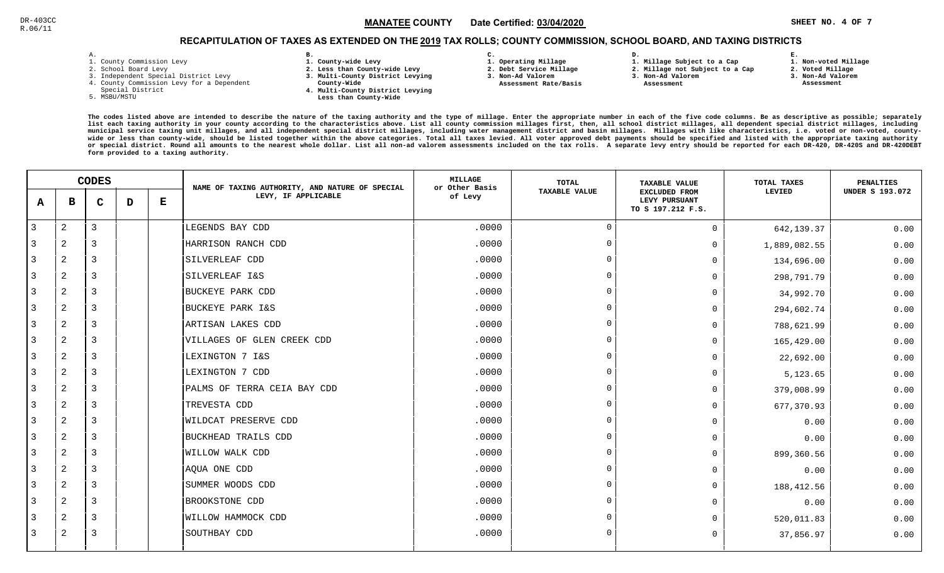### $\mathbb{S}^{\text{C}}$  and the state  $\text{MANATEE}$  COUNTY and  $\text{Date}$  certified:  $\text{03/04/2020}$  and  $\text{SUSY}$  and  $\text{SUSY}$  and  $\text{SUSY}$  and  $\text{SUSY}$  are  $\text{SUSY}$  and  $\text{SUSY}$  and  $\text{SUSY}$  and  $\text{SUSY}$  are  $\text{SUSY}$  and  $\text$ MANATEE CO

**1. Non-voted Millage**

# RECAPITULATION OF TAXES AS EXTENDED ON THE <u>2019</u> TAX ROLLS; COUNTY COMMISSION, SCHOOL BOARD, AND TAXING DISTRICTS

| – | ٠ |  |  |
|---|---|--|--|

- 1. County Commission Levy
- 2. School Board Levy
- 3. Independent Special District Levy
- 4. County Commission Levy for a Dependent
- Special District
- 5. MSBU/MSTU
- **B. 1. County-wide Levy**
- **2. Less than County-wide Levy**
- **3. Multi-County District Levying**
- **County-Wide** 
	- **4. Multi-County District Levying**
- 
- - **Less than County-Wide**
- **C. 1. Operating Millage** 
	-
- **2. Debt Service Millage**
- **3. Non-Ad Valorem Assessment Rate/Basis**
- **2. Millage not Subject to a Cap**

**D.** 

**3. Non-Ad Valorem Assessment** 

**1. Millage Subject to a Cap**

- 
- **2. Voted Millage 3. Non-Ad Valorem Assessment**

**E.**

|                |                | <b>CODES</b> |   |   | NAME OF TAXING AUTHORITY, AND NATURE OF SPECIAL | <b>MILLAGE</b><br>or Other Basis | <b>TOTAL</b>         | <b>TAXABLE VALUE</b>                                | TOTAL TAXES  | <b>PENALTIES</b>       |
|----------------|----------------|--------------|---|---|-------------------------------------------------|----------------------------------|----------------------|-----------------------------------------------------|--------------|------------------------|
| A              | в              | $\mathbf C$  | D | Е | LEVY, IF APPLICABLE                             | of Levy                          | <b>TAXABLE VALUE</b> | EXCLUDED FROM<br>LEVY PURSUANT<br>TO S 197.212 F.S. | LEVIED       | <b>UNDER S 193.072</b> |
| $\mathbf{3}$   | $\overline{a}$ | $\mathbf{3}$ |   |   | LEGENDS BAY CDD                                 | .0000                            | $\Omega$             | $\Omega$                                            | 642,139.37   | 0.00                   |
| 3              | 2              | 3            |   |   | HARRISON RANCH CDD                              | .0000                            | $\Omega$             | $\Omega$                                            | 1,889,082.55 | 0.00                   |
| 3              | 2              | 3            |   |   | SILVERLEAF CDD                                  | .0000                            |                      | $\Omega$                                            | 134,696.00   | 0.00                   |
| $\mathbf{3}$   | $\overline{2}$ | 3            |   |   | SILVERLEAF I&S                                  | .0000                            |                      | $\Omega$                                            | 298,791.79   | 0.00                   |
| $\overline{3}$ | $\overline{2}$ | 3            |   |   | BUCKEYE PARK CDD                                | .0000                            |                      | $\Omega$                                            | 34,992.70    | 0.00                   |
| 3              | 2              | 3            |   |   | BUCKEYE PARK I&S                                | .0000                            |                      | $\Omega$                                            | 294,602.74   | 0.00                   |
| 3              | $\overline{2}$ | 3            |   |   | ARTISAN LAKES CDD                               | .0000                            |                      | $\Omega$                                            | 788,621.99   | 0.00                   |
| 3              | 2              | 3            |   |   | VILLAGES OF GLEN CREEK CDD                      | .0000                            |                      | $\Omega$                                            | 165,429.00   | 0.00                   |
| $\overline{3}$ | $\overline{2}$ | $\mathbf{3}$ |   |   | LEXINGTON 7 I&S                                 | .0000                            |                      | $\Omega$                                            | 22,692.00    | 0.00                   |
| $\overline{3}$ | 2              | 3            |   |   | LEXINGTON 7 CDD                                 | .0000                            |                      | $\Omega$                                            | 5,123.65     | 0.00                   |
| $\overline{3}$ | $\overline{2}$ | 3            |   |   | PALMS OF TERRA CEIA BAY CDD                     | .0000                            | $\Omega$             | $\Omega$                                            | 379,008.99   | 0.00                   |
| $\overline{3}$ | $\overline{2}$ | 3            |   |   | TREVESTA CDD                                    | .0000                            |                      | 0                                                   | 677,370.93   | 0.00                   |
| $\overline{3}$ | $\overline{2}$ | 3            |   |   | WILDCAT PRESERVE CDD                            | .0000                            |                      | $\Omega$                                            | 0.00         | 0.00                   |
| 3              | 2              | 3            |   |   | BUCKHEAD TRAILS CDD                             | .0000                            |                      | U                                                   | 0.00         | 0.00                   |
| 3              | $\overline{2}$ | 3            |   |   | WILLOW WALK CDD                                 | .0000                            |                      | $\Omega$                                            | 899,360.56   | 0.00                   |
| 3              | 2              | 3            |   |   | AQUA ONE CDD                                    | .0000                            |                      | $\Omega$                                            | 0.00         | 0.00                   |
| $\overline{3}$ | 2              | 3            |   |   | SUMMER WOODS CDD                                | .0000                            |                      | $\Omega$                                            | 188, 412.56  | 0.00                   |
| 3              | 2              | 3            |   |   | BROOKSTONE CDD                                  | .0000                            |                      | $\Omega$                                            | 0.00         | 0.00                   |
| 3              | 2              | 3            |   |   | WILLOW HAMMOCK CDD                              | .0000                            |                      | $\Omega$                                            | 520,011.83   | 0.00                   |
| 3              | 2              | 3            |   |   | SOUTHBAY CDD                                    | .0000                            |                      | <sup>n</sup>                                        | 37,856.97    | 0.00                   |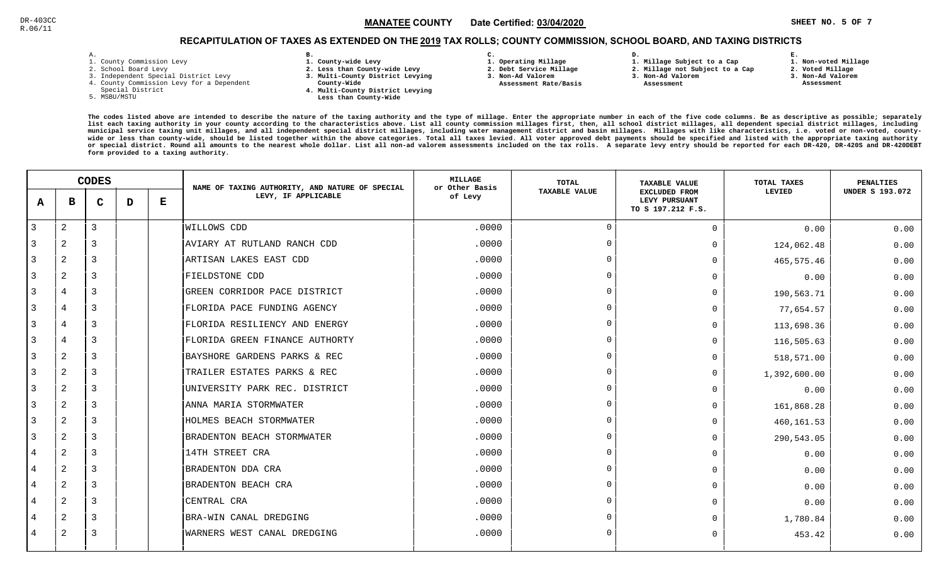### $\mathbb{S}^3$  and  $\mathbb{S}^3$  and  $\mathbb{S}^4$  and  $\mathbb{S}^4$  and  $\mathbb{S}^4$  and  $\mathbb{S}^4$  and  $\mathbb{S}^4$  and  $\mathbb{S}^4$  and  $\mathbb{S}^4$  and  $\mathbb{S}^4$  and  $\mathbb{S}^4$  and  $\mathbb{S}^4$  and  $\mathbb{S}^4$  and  $\mathbb{S}^4$  and  $\mathbb{S}^4$  MANATEE CO

**1. Non-voted Millage**

# RECAPITULATION OF TAXES AS EXTENDED ON THE <u>2019</u> TAX ROLLS; COUNTY COMMISSION, SCHOOL BOARD, AND TAXING DISTRICTS

| ۰ |  |  |
|---|--|--|

- 1. County Commission Levy
- 2. School Board Levy
- 3. Independent Special District Levy
- 4. County Commission Levy for a Dependent
- Special District
- 5. MSBU/MSTU
- **B. 1. County-wide Levy**
- **2. Less than County-wide Levy**
- **3. Multi-County District Levying**
- **County-Wide** 
	- **4. Multi-County District Levying Less than County-Wide**
- **C.**
- **1. Operating Millage**
- **2. Debt Service Millage 3. Non-Ad Valorem**
- **Assessment Rate/Basis**
- **2. Millage not Subject to a Cap3. Non-Ad Valorem**

**D.** 

 **Assessment** 

**1. Millage Subject to a Cap**

**2. Voted Millage3. Non-Ad Valorem**

**E.**

 **Assessment**

|                | <b>CODES</b> |             |   | NAME OF TAXING AUTHORITY, AND NATURE OF SPECIAL | <b>MILLAGE</b><br>or Other Basis | TOTAL   | <b>TAXABLE VALUE</b> | TOTAL TAXES                                                | <b>PENALTIES</b> |                        |
|----------------|--------------|-------------|---|-------------------------------------------------|----------------------------------|---------|----------------------|------------------------------------------------------------|------------------|------------------------|
| A              | в            | $\mathbf C$ | D | Е                                               | LEVY, IF APPLICABLE              | of Levy | <b>TAXABLE VALUE</b> | <b>EXCLUDED FROM</b><br>LEVY PURSUANT<br>TO S 197.212 F.S. | LEVIED           | <b>UNDER S 193.072</b> |
| $\overline{3}$ | 2            | 3           |   |                                                 | <b>WILLOWS CDD</b>               | .0000   | $\Omega$             | $\mathbf 0$                                                | 0.00             | 0.00                   |
| 3              | 2            | 3           |   |                                                 | AVIARY AT RUTLAND RANCH CDD      | .0000   | $\Omega$             | $\Omega$                                                   | 124,062.48       | 0.00                   |
| 3              | 2            | 3           |   |                                                 | ARTISAN LAKES EAST CDD           | .0000   | $\cap$               | $\Omega$                                                   | 465,575.46       | 0.00                   |
| 3              | 2            | 3           |   |                                                 | FIELDSTONE CDD                   | .0000   |                      | $\mathbf 0$                                                | 0.00             | 0.00                   |
| 3              | 4            | 3           |   |                                                 | GREEN CORRIDOR PACE DISTRICT     | .0000   |                      | $\Omega$                                                   | 190,563.71       | 0.00                   |
| 3              | 4            | 3           |   |                                                 | FLORIDA PACE FUNDING AGENCY      | .0000   | $\Omega$             | $\Omega$                                                   | 77,654.57        | 0.00                   |
| 3              | 4            | 3           |   |                                                 | FLORIDA RESILIENCY AND ENERGY    | .0000   | $\Omega$             | $\Omega$                                                   | 113,698.36       | 0.00                   |
| 3              | 4            | 3           |   |                                                 | FLORIDA GREEN FINANCE AUTHORTY   | .0000   | $\cap$               | $\Omega$                                                   | 116,505.63       | 0.00                   |
| 3              | 2            | 3           |   |                                                 | BAYSHORE GARDENS PARKS & REC     | .0000   | $\cap$               | $\Omega$                                                   | 518,571.00       | 0.00                   |
| 3              | 2            | 3           |   |                                                 | TRAILER ESTATES PARKS & REC      | .0000   | $\cap$               | $\mathbf 0$                                                | 1,392,600.00     | 0.00                   |
| 3              | 2            | 3           |   |                                                 | UNIVERSITY PARK REC. DISTRICT    | .0000   | $\cap$               | $\Omega$                                                   | 0.00             | 0.00                   |
| 3              | 2            | 3           |   |                                                 | ANNA MARIA STORMWATER            | .0000   | $\Omega$             | $\Omega$                                                   | 161,868.28       | 0.00                   |
| 3              | 2            | 3           |   |                                                 | HOLMES BEACH STORMWATER          | .0000   | $\cap$               | $\mathbf 0$                                                | 460,161.53       | 0.00                   |
| 3              | 2            | 3           |   |                                                 | BRADENTON BEACH STORMWATER       | .0000   | $\Omega$             | $\Omega$                                                   | 290,543.05       | 0.00                   |
| 4              | 2            | 3           |   |                                                 | 14TH STREET CRA                  | .0000   |                      | $\Omega$                                                   | 0.00             | 0.00                   |
| 4              | 2            | 3           |   |                                                 | BRADENTON DDA CRA                | .0000   |                      | $\mathbf 0$                                                | 0.00             | 0.00                   |
| 4              | 2            | 3           |   |                                                 | BRADENTON BEACH CRA              | .0000   |                      | $\Omega$                                                   | 0.00             | 0.00                   |
| 4              | 2            | 3           |   |                                                 | CENTRAL CRA                      | .0000   | $\cap$               | $\Omega$                                                   | 0.00             | 0.00                   |
| 4              | 2            | 3           |   |                                                 | BRA-WIN CANAL DREDGING           | .0000   | $\cap$               | $\Omega$                                                   | 1,780.84         | 0.00                   |
| 4              | 2            | 3           |   |                                                 | WARNERS WEST CANAL DREDGING      | .0000   |                      | $\Omega$                                                   | 453.42           | 0.00                   |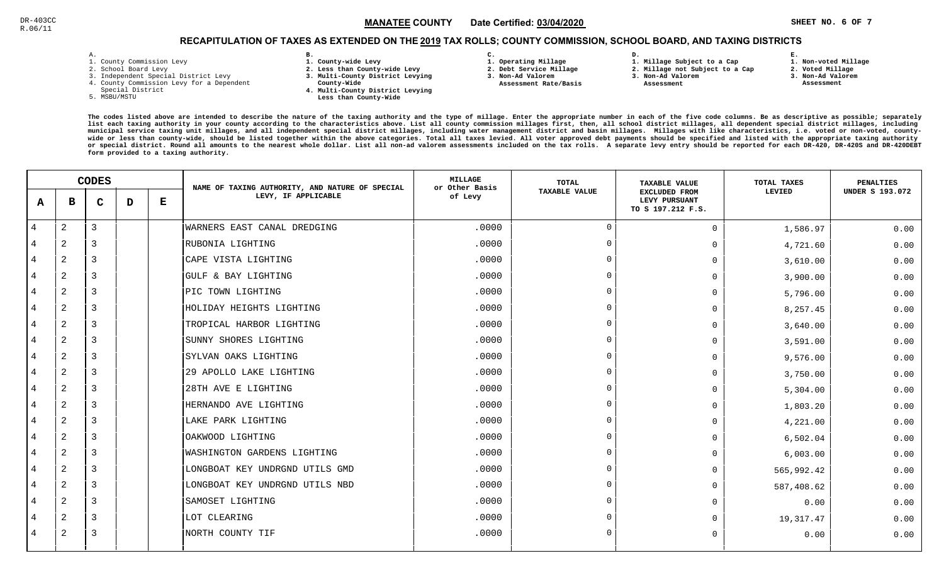### $\mathbb{S}^{\text{C}}$  and the state  $\mathbb{S}$  and  $\mathbb{M}$  and  $\mathbb{M}$  and  $\mathbb{S}$  and  $\mathbb{S}$  and  $\mathbb{S}$  and  $\mathbb{M}$  and  $\mathbb{S}$  and  $\mathbb{S}$  and  $\mathbb{S}$  and  $\mathbb{S}$  and  $\mathbb{S}$  and  $\mathbb{S}$  are  $\mathbb{S}$  and  $\mathbb{S}$  a MANATEE CO

## RECAPITULATION OF TAXES AS EXTENDED ON THE <u>2019</u> TAX ROLLS; COUNTY COMMISSION, SCHOOL BOARD, AND TAXING DISTRICTS

| – | ٠ |  |  |
|---|---|--|--|

- 1. County Commission Levy
- 2. School Board Levy
- 3. Independent Special District Levy
- 4. County Commission Levy for a Dependent
- Special District
- 5. MSBU/MSTU
- **B. 1. County-wide Levy**
- **2. Less than County-wide Levy**
- **3. Multi-County District Levying**
- **County-Wide** 
	- **4. Multi-County District Levying Less than County-Wide**
- **C.**
- **1. Operating Millage**
- **2. Debt Service Millage 3. Non-Ad Valorem**
- **Assessment Rate/Basis**
- **2. Millage not Subject to a Cap3. Non-Ad Valorem**

**D.** 

 **Assessment** 

**1. Millage Subject to a Cap**

**E.**

- **2. Voted Millage 3. Non-Ad Valorem Assessment**
	-

**1. Non-voted Millage**

|                | <b>CODES</b>   |                |   | NAME OF TAXING AUTHORITY, AND NATURE OF SPECIAL | <b>MILLAGE</b><br>or Other Basis | TOTAL   | <b>TAXABLE VALUE</b> | TOTAL TAXES<br>LEVIED<br>1,586.97<br>4,721.60<br>3,610.00<br>3,900.00<br>5,796.00<br>8,257.45<br>3,640.00<br>3,591.00<br>9,576.00<br>3,750.00<br>5,304.00<br>1,803.20<br>4,221.00<br>6,502.04<br>6,003.00<br>565,992.42<br>587,408.62 | <b>PENALTIES</b> |                        |
|----------------|----------------|----------------|---|-------------------------------------------------|----------------------------------|---------|----------------------|---------------------------------------------------------------------------------------------------------------------------------------------------------------------------------------------------------------------------------------|------------------|------------------------|
| A              | в              | $\mathbf{C}$   | D | Е                                               | LEVY, IF APPLICABLE              | of Levy | <b>TAXABLE VALUE</b> | <b>EXCLUDED FROM</b><br>LEVY PURSUANT<br>TO S 197.212 F.S.                                                                                                                                                                            |                  | <b>UNDER S 193.072</b> |
| $\overline{4}$ | 2              | $\overline{3}$ |   |                                                 | WARNERS EAST CANAL DREDGING      | .0000   | $\overline{0}$       | $\Omega$                                                                                                                                                                                                                              |                  | 0.00                   |
| $\overline{4}$ | $\overline{2}$ | 3              |   |                                                 | RUBONIA LIGHTING                 | .0000   | $\Omega$             | $\Omega$                                                                                                                                                                                                                              |                  | 0.00                   |
| 4              | $\overline{a}$ | 3              |   |                                                 | CAPE VISTA LIGHTING              | .0000   |                      | $\Omega$                                                                                                                                                                                                                              |                  | 0.00                   |
| 4              | 2              | 3              |   |                                                 | GULF & BAY LIGHTING              | .0000   | $\Omega$             | $\Omega$                                                                                                                                                                                                                              |                  | 0.00                   |
| $\overline{4}$ | 2              | 3              |   |                                                 | PIC TOWN LIGHTING                | .0000   | $\cap$               | $\Omega$                                                                                                                                                                                                                              |                  | 0.00                   |
| 4              | $\overline{2}$ | 3              |   |                                                 | HOLIDAY HEIGHTS LIGHTING         | .0000   | $\Omega$             | $\Omega$                                                                                                                                                                                                                              |                  | 0.00                   |
| 4              | $\overline{a}$ | 3              |   |                                                 | TROPICAL HARBOR LIGHTING         | .0000   | $\cap$               | $\Omega$                                                                                                                                                                                                                              |                  | 0.00                   |
| 4              | $\overline{a}$ | 3              |   |                                                 | SUNNY SHORES LIGHTING            | .0000   | $\cap$               | $\Omega$                                                                                                                                                                                                                              |                  | 0.00                   |
| $\overline{4}$ | $\overline{a}$ | 3              |   |                                                 | SYLVAN OAKS LIGHTING             | .0000   |                      | $\Omega$                                                                                                                                                                                                                              |                  | 0.00                   |
| 4              | 2              | 3              |   |                                                 | 29 APOLLO LAKE LIGHTING          | .0000   | $\Omega$             | $\Omega$                                                                                                                                                                                                                              |                  | 0.00                   |
| 4              | $\overline{2}$ | 3              |   |                                                 | 28TH AVE E LIGHTING              | .0000   | $\cap$               | $\Omega$                                                                                                                                                                                                                              |                  | 0.00                   |
| 4              | $\overline{2}$ | $\overline{3}$ |   |                                                 | HERNANDO AVE LIGHTING            | .0000   | $\Omega$             | $\Omega$                                                                                                                                                                                                                              |                  | 0.00                   |
| $\overline{4}$ | $\overline{a}$ | 3              |   |                                                 | LAKE PARK LIGHTING               | .0000   | $\cap$               | $\cap$                                                                                                                                                                                                                                |                  | 0.00                   |
| 4              | 2              | 3              |   |                                                 | OAKWOOD LIGHTING                 | .0000   | $\Omega$             | $\Omega$                                                                                                                                                                                                                              |                  | 0.00                   |
| 4              | $\overline{2}$ | 3              |   |                                                 | WASHINGTON GARDENS LIGHTING      | .0000   |                      | $\Omega$                                                                                                                                                                                                                              |                  | 0.00                   |
| 4              | 2              | 3              |   |                                                 | LONGBOAT KEY UNDRGND UTILS GMD   | .0000   | $\cap$               | $\Omega$                                                                                                                                                                                                                              |                  | 0.00                   |
| 4              | 2              | 3              |   |                                                 | LONGBOAT KEY UNDRGND UTILS NBD   | .0000   | $\Omega$             | $\Omega$                                                                                                                                                                                                                              |                  | 0.00                   |
| $\overline{4}$ | $\overline{a}$ | $\overline{3}$ |   |                                                 | SAMOSET LIGHTING                 | .0000   | $\Omega$             | $\Omega$                                                                                                                                                                                                                              | 0.00             | 0.00                   |
| 4              | $\overline{a}$ | 3              |   |                                                 | LOT CLEARING                     | .0000   | $\cap$               | 0                                                                                                                                                                                                                                     | 19, 317.47       | 0.00                   |
| 4              | 2              | 3              |   |                                                 | NORTH COUNTY TIF                 | .0000   | $\cap$               | $\Omega$                                                                                                                                                                                                                              | 0.00             | 0.00                   |